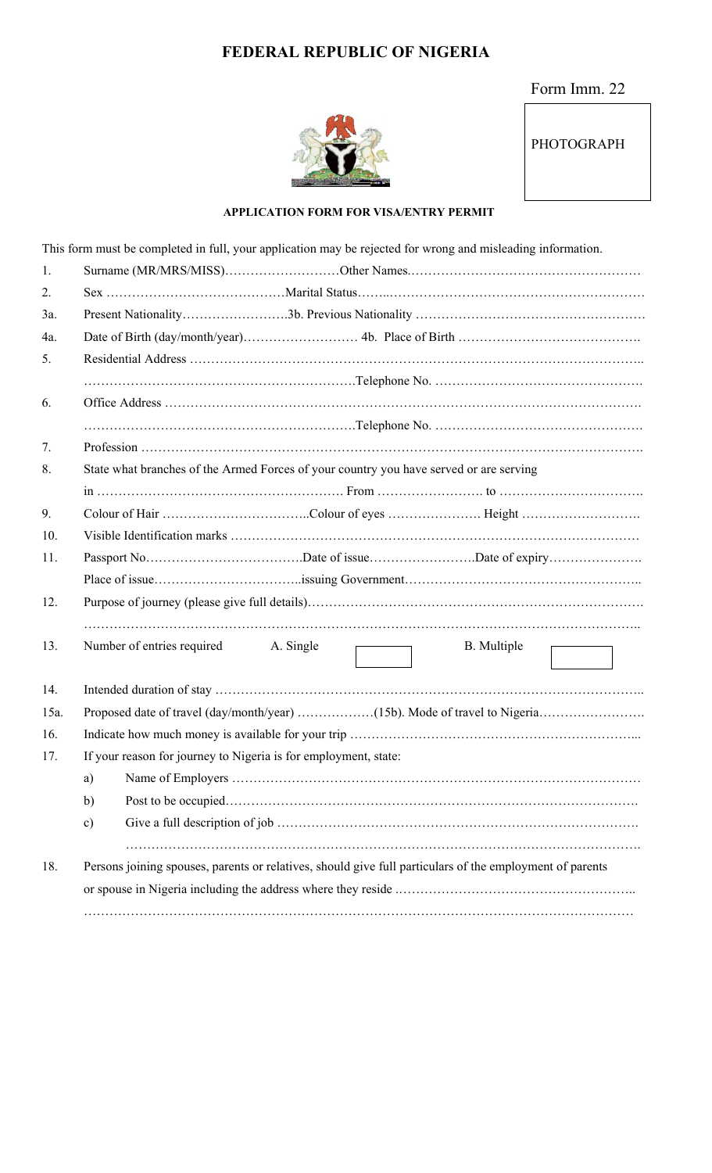# **FEDERAL REPUBLIC OF NIGERIA**

### Form Imm. 22



### PHOTOGRAPH

#### **APPLICATION FORM FOR VISA/ENTRY PERMIT**

|        | This form must be completed in full, your application may be rejected for wrong and misleading information. |  |  |  |  |  |
|--------|-------------------------------------------------------------------------------------------------------------|--|--|--|--|--|
| 1.     |                                                                                                             |  |  |  |  |  |
| 2.     |                                                                                                             |  |  |  |  |  |
| 3a.    |                                                                                                             |  |  |  |  |  |
| $4a$ . |                                                                                                             |  |  |  |  |  |
| 5.     |                                                                                                             |  |  |  |  |  |
|        |                                                                                                             |  |  |  |  |  |
| 6.     |                                                                                                             |  |  |  |  |  |
|        |                                                                                                             |  |  |  |  |  |
| 7.     |                                                                                                             |  |  |  |  |  |
| 8.     | State what branches of the Armed Forces of your country you have served or are serving                      |  |  |  |  |  |
|        |                                                                                                             |  |  |  |  |  |
| 9.     |                                                                                                             |  |  |  |  |  |
| 10.    |                                                                                                             |  |  |  |  |  |
| 11.    |                                                                                                             |  |  |  |  |  |
|        |                                                                                                             |  |  |  |  |  |
| 12.    |                                                                                                             |  |  |  |  |  |
|        |                                                                                                             |  |  |  |  |  |
| 13.    | Number of entries required A. Single<br><b>B.</b> Multiple                                                  |  |  |  |  |  |
| 14.    |                                                                                                             |  |  |  |  |  |
| 15a.   |                                                                                                             |  |  |  |  |  |
| 16.    |                                                                                                             |  |  |  |  |  |
| 17.    | If your reason for journey to Nigeria is for employment, state:                                             |  |  |  |  |  |
|        | a)                                                                                                          |  |  |  |  |  |
|        | b)                                                                                                          |  |  |  |  |  |
|        | c)                                                                                                          |  |  |  |  |  |
|        |                                                                                                             |  |  |  |  |  |
| 18.    | Persons joining spouses, parents or relatives, should give full particulars of the employment of parents    |  |  |  |  |  |
|        |                                                                                                             |  |  |  |  |  |
|        |                                                                                                             |  |  |  |  |  |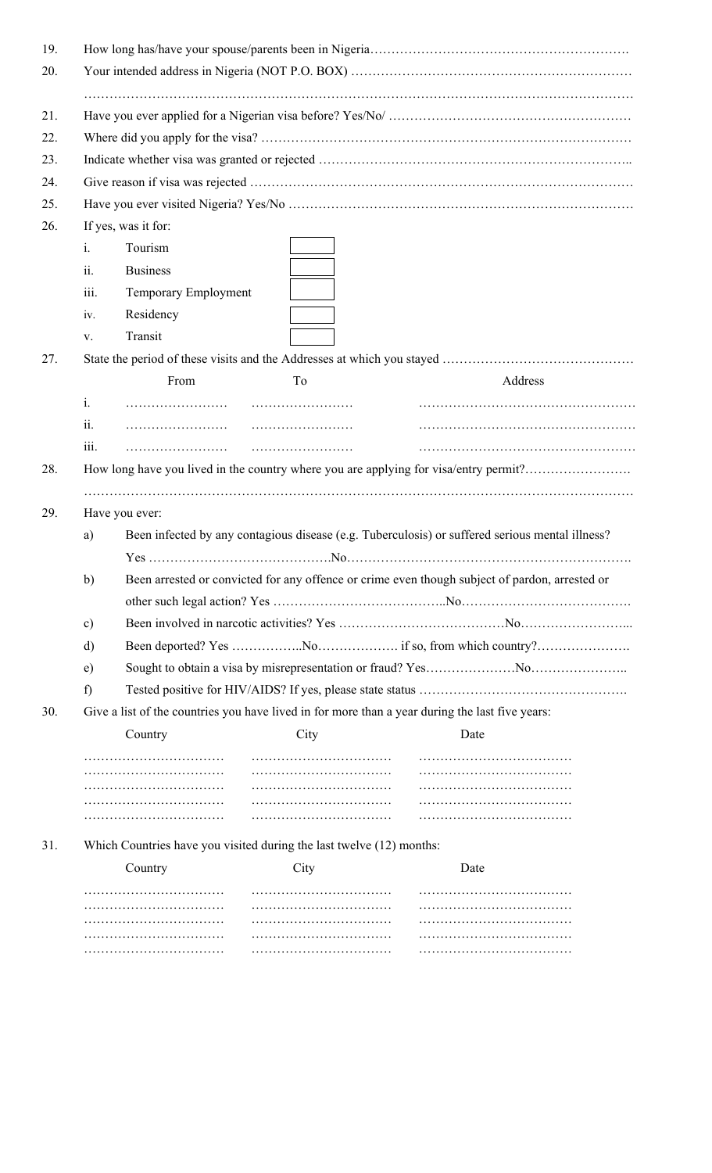|                | If yes, was it for:  |                                                                                                 |                                                                                                 |  |  |  |
|----------------|----------------------|-------------------------------------------------------------------------------------------------|-------------------------------------------------------------------------------------------------|--|--|--|
| $\mathbf{i}$ . | Tourism              |                                                                                                 |                                                                                                 |  |  |  |
| ii.            | <b>Business</b>      |                                                                                                 |                                                                                                 |  |  |  |
| iii.           | Temporary Employment |                                                                                                 |                                                                                                 |  |  |  |
| iv.            | Residency            |                                                                                                 |                                                                                                 |  |  |  |
| V.             | Transit              |                                                                                                 |                                                                                                 |  |  |  |
|                |                      |                                                                                                 |                                                                                                 |  |  |  |
|                | From                 | To                                                                                              | Address                                                                                         |  |  |  |
| i.             |                      |                                                                                                 |                                                                                                 |  |  |  |
| ii.            |                      |                                                                                                 |                                                                                                 |  |  |  |
|                |                      |                                                                                                 |                                                                                                 |  |  |  |
| iii.           |                      |                                                                                                 |                                                                                                 |  |  |  |
| a)             | Have you ever:       |                                                                                                 | Been infected by any contagious disease (e.g. Tuberculosis) or suffered serious mental illness? |  |  |  |
|                |                      |                                                                                                 |                                                                                                 |  |  |  |
| b)             |                      |                                                                                                 | Been arrested or convicted for any offence or crime even though subject of pardon, arrested or  |  |  |  |
|                |                      |                                                                                                 |                                                                                                 |  |  |  |
| c)             |                      |                                                                                                 |                                                                                                 |  |  |  |
| d)             |                      |                                                                                                 |                                                                                                 |  |  |  |
| e)             |                      |                                                                                                 |                                                                                                 |  |  |  |
| f)             |                      |                                                                                                 |                                                                                                 |  |  |  |
|                |                      | Give a list of the countries you have lived in for more than a year during the last five years: |                                                                                                 |  |  |  |
|                | Country              | City                                                                                            | Date                                                                                            |  |  |  |
|                |                      |                                                                                                 |                                                                                                 |  |  |  |
|                |                      |                                                                                                 |                                                                                                 |  |  |  |
|                |                      |                                                                                                 |                                                                                                 |  |  |  |
|                |                      |                                                                                                 |                                                                                                 |  |  |  |
|                |                      | Which Countries have you visited during the last twelve (12) months:                            |                                                                                                 |  |  |  |
|                | Country              | City                                                                                            | Date                                                                                            |  |  |  |
|                |                      |                                                                                                 |                                                                                                 |  |  |  |
|                |                      |                                                                                                 | How long have you lived in the country where you are applying for visa/entry permit?            |  |  |  |